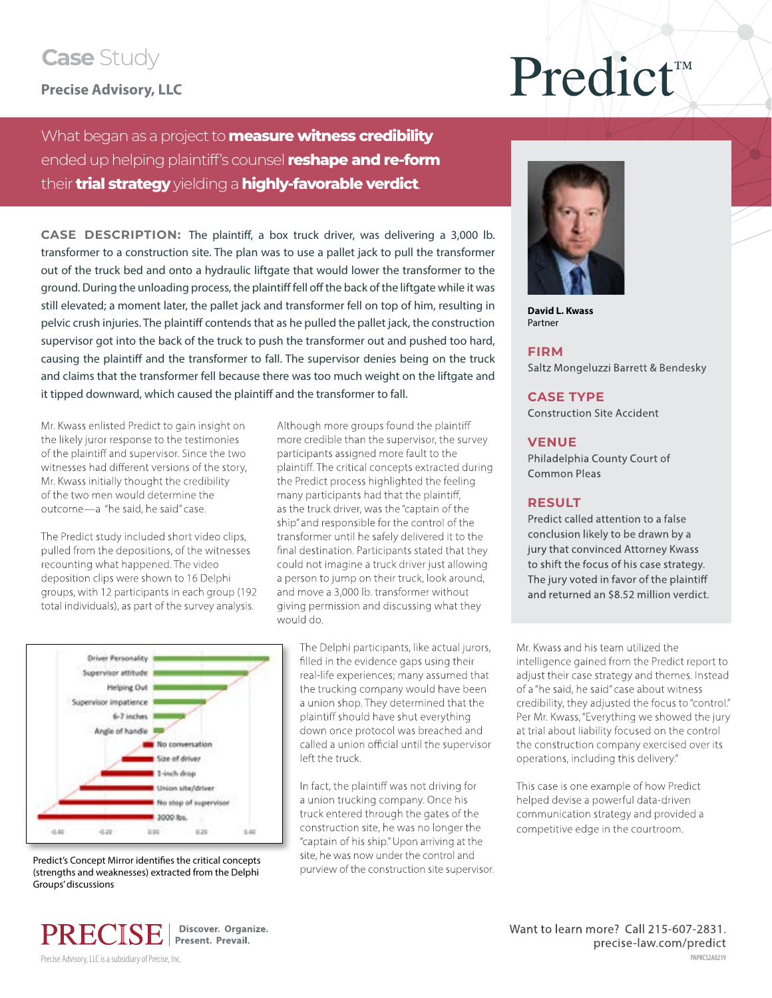### **Case** Study

**Precise Advisory, LLC**

# Predict<sup>\*</sup>

What began as a project to **measure witness credibility**  ended up helping plaintiff's counsel **reshape and re-form** their **trial strategy** yielding a **highly-favorable verdict**.

**CASE DESCRIPTION:** The plaintiff, a box truck driver, was delivering a 3,000 lb. transformer to a construction site. The plan was to use a pallet jack to pull the transformer out of the truck bed and onto a hydraulic liftgate that would lower the transformer to the ground. During the unloading process, the plaintiff fell off the back of the liftgate while it was still elevated; a moment later, the pallet jack and transformer fell on top of him, resulting in pelvic crush injuries. The plaintiff contends that as he pulled the pallet jack, the construction supervisor got into the back of the truck to push the transformer out and pushed too hard, causing the plaintiff and the transformer to fall. The supervisor denies being on the truck and claims that the transformer fell because there was too much weight on the liftgate and it tipped downward, which caused the plaintiff and the transformer to fall.

Mr. Kwass enlisted Predict to gain insight on the likely juror response to the testimonies of the plaintiff and supervisor. Since the two witnesses had different versions of the story, Mr. Kwass initially thought the credibility of the two men would determine the outcome—a "he said, he said" case.

The Predict study included short video clips, pulled from the depositions, of the witnesses recounting what happened. The video deposition clips were shown to 16 Delphi groups, with 12 participants in each group (192 total individuals), as part of the survey analysis.

Although more groups found the plaintiff more credible than the supervisor, the survey participants assigned more fault to the plaintiff. The critical concepts extracted during the Predict process highlighted the feeling many participants had that the plaintiff, as the truck driver, was the "captain of the ship" and responsible for the control of the transformer until he safely delivered it to the final destination. Participants stated that they could not imagine a truck driver just allowing a person to jump on their truck, look around, and move a 3,000 lb. transformer without giving permission and discussing what they would do.



Predict's Concept Mirror identifies the critical concepts (strengths and weaknesses) extracted from the Delphi Groups' discussions

The Delphi participants, like actual jurors, filled in the evidence gaps using their real-life experiences; many assumed that the trucking company would have been a union shop. They determined that the plaintiff should have shut everything down once protocol was breached and called a union official until the supervisor left the truck.

In fact, the plaintiff was not driving for a union trucking company. Once his truck entered through the gates of the construction site, he was no longer the "captain of his ship." Upon arriving at the site, he was now under the control and purview of the construction site supervisor.



**David L. Kwass** Partner

#### **FIRM**

Saltz Mongeluzzi Barrett & Bendesky

#### **CASE TYPE**

Construction Site Accident

#### **VENUE**

Philadelphia County Court of Common Pleas

#### **RESULT**

Predict called attention to a false conclusion likely to be drawn by a jury that convinced Attorney Kwass to shift the focus of his case strategy. The jury voted in favor of the plaintiff and returned an \$8.52 million verdict.

Mr. Kwass and his team utilized the intelligence gained from the Predict report to adjust their case strategy and themes. Instead of a "he said, he said" case about witness credibility, they adjusted the focus to "control." Per Mr. Kwass, "Everything we showed the jury at trial about liability focused on the control the construction company exercised over its operations, including this delivery."

This case is one example of how Predict helped devise a powerful data-driven communication strategy and provided a competitive edge in the courtroom.